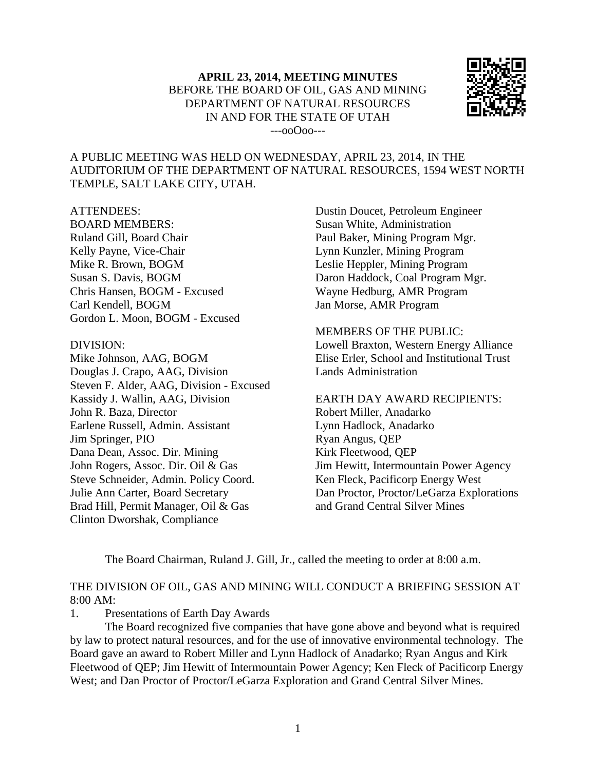

### A PUBLIC MEETING WAS HELD ON WEDNESDAY, APRIL 23, 2014, IN THE AUDITORIUM OF THE DEPARTMENT OF NATURAL RESOURCES, 1594 WEST NORTH TEMPLE, SALT LAKE CITY, UTAH.

#### ATTENDEES:

BOARD MEMBERS: Ruland Gill, Board Chair Kelly Payne, Vice-Chair Mike R. Brown, BOGM Susan S. Davis, BOGM Chris Hansen, BOGM - Excused Carl Kendell, BOGM Gordon L. Moon, BOGM - Excused

#### DIVISION:

Mike Johnson, AAG, BOGM Douglas J. Crapo, AAG, Division Steven F. Alder, AAG, Division - Excused Kassidy J. Wallin, AAG, Division John R. Baza, Director Earlene Russell, Admin. Assistant Jim Springer, PIO Dana Dean, Assoc. Dir. Mining John Rogers, Assoc. Dir. Oil & Gas Steve Schneider, Admin. Policy Coord. Julie Ann Carter, Board Secretary Brad Hill, Permit Manager, Oil & Gas Clinton Dworshak, Compliance

Dustin Doucet, Petroleum Engineer Susan White, Administration Paul Baker, Mining Program Mgr. Lynn Kunzler, Mining Program Leslie Heppler, Mining Program Daron Haddock, Coal Program Mgr. Wayne Hedburg, AMR Program Jan Morse, AMR Program

MEMBERS OF THE PUBLIC: Lowell Braxton, Western Energy Alliance Elise Erler, School and Institutional Trust Lands Administration

EARTH DAY AWARD RECIPIENTS: Robert Miller, Anadarko Lynn Hadlock, Anadarko Ryan Angus, QEP Kirk Fleetwood, QEP Jim Hewitt, Intermountain Power Agency Ken Fleck, Pacificorp Energy West Dan Proctor, Proctor/LeGarza Explorations and Grand Central Silver Mines

The Board Chairman, Ruland J. Gill, Jr., called the meeting to order at 8:00 a.m.

## THE DIVISION OF OIL, GAS AND MINING WILL CONDUCT A BRIEFING SESSION AT 8:00 AM:

1. Presentations of Earth Day Awards

The Board recognized five companies that have gone above and beyond what is required by law to protect natural resources, and for the use of innovative environmental technology. The Board gave an award to Robert Miller and Lynn Hadlock of Anadarko; Ryan Angus and Kirk Fleetwood of QEP; Jim Hewitt of Intermountain Power Agency; Ken Fleck of Pacificorp Energy West; and Dan Proctor of Proctor/LeGarza Exploration and Grand Central Silver Mines.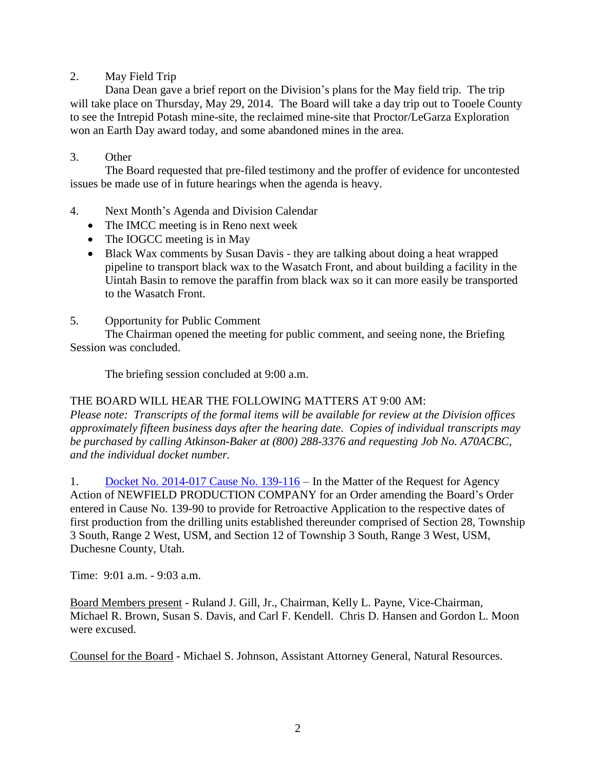# 2. May Field Trip

Dana Dean gave a brief report on the Division's plans for the May field trip. The trip will take place on Thursday, May 29, 2014. The Board will take a day trip out to Tooele County to see the Intrepid Potash mine-site, the reclaimed mine-site that Proctor/LeGarza Exploration won an Earth Day award today, and some abandoned mines in the area.

# 3. Other

The Board requested that pre-filed testimony and the proffer of evidence for uncontested issues be made use of in future hearings when the agenda is heavy.

- 4. Next Month's Agenda and Division Calendar
	- The IMCC meeting is in Reno next week
	- The IOGCC meeting is in May
	- Black Wax comments by Susan Davis they are talking about doing a heat wrapped pipeline to transport black wax to the Wasatch Front, and about building a facility in the Uintah Basin to remove the paraffin from black wax so it can more easily be transported to the Wasatch Front.
- 5. Opportunity for Public Comment

The Chairman opened the meeting for public comment, and seeing none, the Briefing Session was concluded.

The briefing session concluded at 9:00 a.m.

## THE BOARD WILL HEAR THE FOLLOWING MATTERS AT 9:00 AM:

*Please note: Transcripts of the formal items will be available for review at the Division offices approximately fifteen business days after the hearing date. Copies of individual transcripts may be purchased by calling Atkinson-Baker at (800) 288-3376 and requesting Job No. A70ACBC, and the individual docket number.*

1. Docket No. [2014-017](http://ogm.utah.gov/amr/boardtemp/redesign/2014/04_apr/dockets/aprdockets2014.html) Cause No. 139-116 – In the Matter of the Request for Agency Action of NEWFIELD PRODUCTION COMPANY for an Order amending the Board's Order entered in Cause No. 139-90 to provide for Retroactive Application to the respective dates of first production from the drilling units established thereunder comprised of Section 28, Township 3 South, Range 2 West, USM, and Section 12 of Township 3 South, Range 3 West, USM, Duchesne County, Utah.

Time: 9:01 a.m. - 9:03 a.m.

Board Members present - Ruland J. Gill, Jr., Chairman, Kelly L. Payne, Vice-Chairman, Michael R. Brown, Susan S. Davis, and Carl F. Kendell. Chris D. Hansen and Gordon L. Moon were excused.

Counsel for the Board - Michael S. Johnson, Assistant Attorney General, Natural Resources.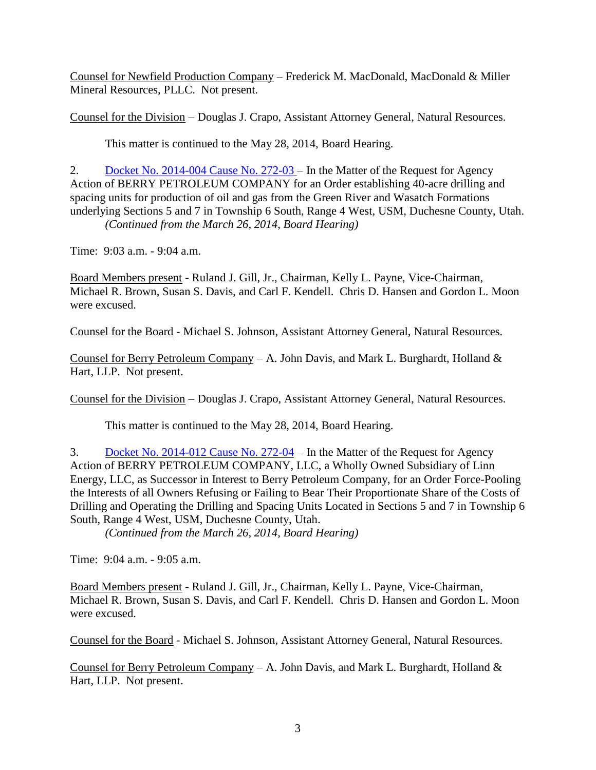Counsel for Newfield Production Company – Frederick M. MacDonald, MacDonald & Miller Mineral Resources, PLLC. Not present.

Counsel for the Division – Douglas J. Crapo, Assistant Attorney General, Natural Resources.

This matter is continued to the May 28, 2014, Board Hearing.

2. Docket No. [2014-004](http://ogm.utah.gov/amr/boardtemp/redesign/2014/04_apr/dockets/aprdockets2014.html) Cause No. 272-03 – In the Matter of the Request for Agency Action of BERRY PETROLEUM COMPANY for an Order establishing 40-acre drilling and spacing units for production of oil and gas from the Green River and Wasatch Formations underlying Sections 5 and 7 in Township 6 South, Range 4 West, USM, Duchesne County, Utah. *(Continued from the March 26, 2014, Board Hearing)*

Time: 9:03 a.m. - 9:04 a.m.

Board Members present - Ruland J. Gill, Jr., Chairman, Kelly L. Payne, Vice-Chairman, Michael R. Brown, Susan S. Davis, and Carl F. Kendell. Chris D. Hansen and Gordon L. Moon were excused.

Counsel for the Board - Michael S. Johnson, Assistant Attorney General, Natural Resources.

Counsel for Berry Petroleum Company – A. John Davis, and Mark L. Burghardt, Holland  $\&$ Hart, LLP. Not present.

Counsel for the Division – Douglas J. Crapo, Assistant Attorney General, Natural Resources.

This matter is continued to the May 28, 2014, Board Hearing.

3. Docket No. [2014-012](http://ogm.utah.gov/amr/boardtemp/redesign/2014/04_apr/dockets/aprdockets2014.html) Cause No. 272-04 – In the Matter of the Request for Agency Action of BERRY PETROLEUM COMPANY, LLC, a Wholly Owned Subsidiary of Linn Energy, LLC, as Successor in Interest to Berry Petroleum Company, for an Order Force-Pooling the Interests of all Owners Refusing or Failing to Bear Their Proportionate Share of the Costs of Drilling and Operating the Drilling and Spacing Units Located in Sections 5 and 7 in Township 6 South, Range 4 West, USM, Duchesne County, Utah.

*(Continued from the March 26, 2014, Board Hearing)*

Time: 9:04 a.m. - 9:05 a.m.

Board Members present - Ruland J. Gill, Jr., Chairman, Kelly L. Payne, Vice-Chairman, Michael R. Brown, Susan S. Davis, and Carl F. Kendell. Chris D. Hansen and Gordon L. Moon were excused.

Counsel for the Board - Michael S. Johnson, Assistant Attorney General, Natural Resources.

Counsel for Berry Petroleum Company – A. John Davis, and Mark L. Burghardt, Holland  $\&$ Hart, LLP. Not present.